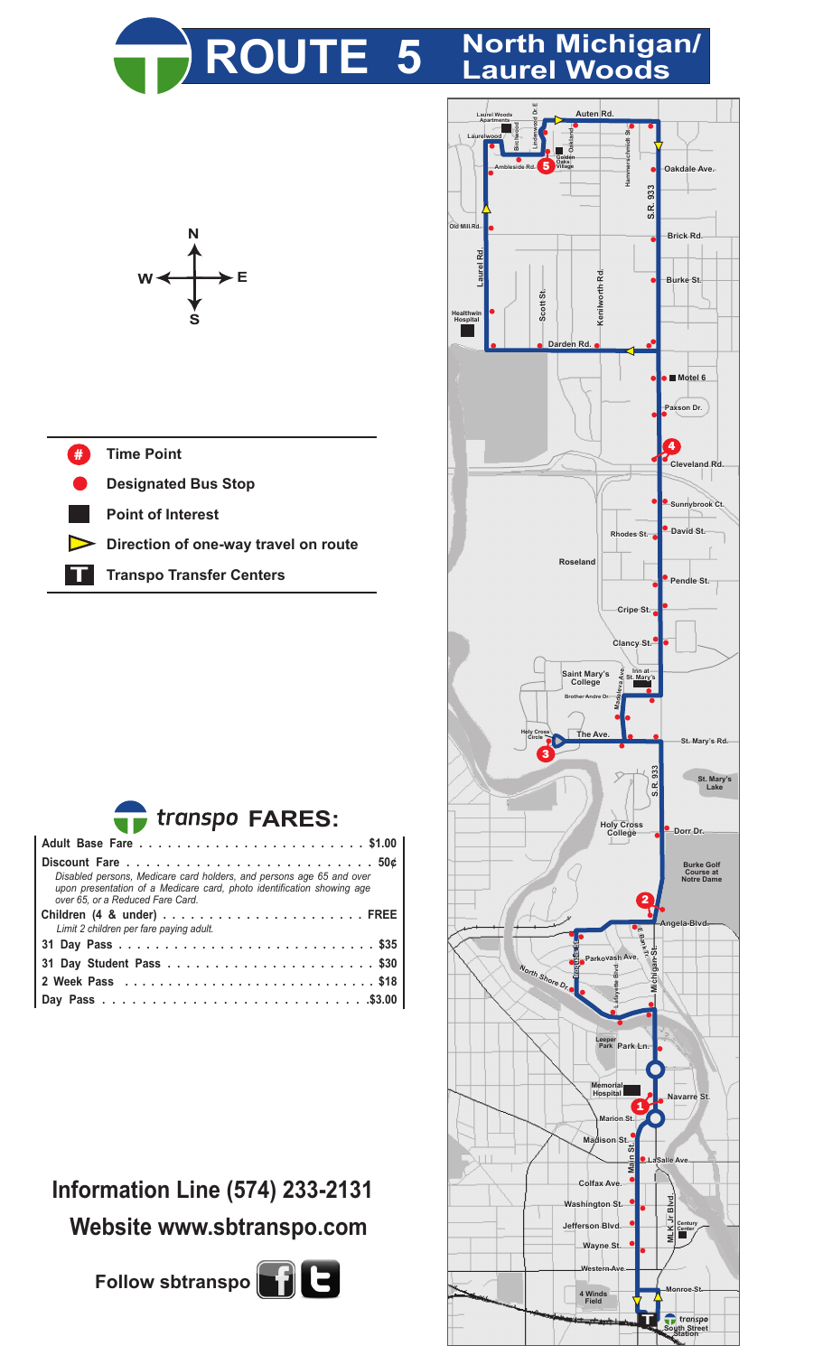

## **ROUTE 5 North Michigan/ Laurel Woods**



## **Time Point** #

**Designated Bus Stop**

**Point of Interest**

**Direction of one-way travel on route**

**T Transpo Transfer Centers**



| Disabled persons, Medicare card holders, and persons age 65 and over<br>upon presentation of a Medicare card, photo identification showing age<br>over 65, or a Reduced Fare Card. |
|------------------------------------------------------------------------------------------------------------------------------------------------------------------------------------|
|                                                                                                                                                                                    |
| Limit 2 children per fare paying adult.                                                                                                                                            |
|                                                                                                                                                                                    |
|                                                                                                                                                                                    |
|                                                                                                                                                                                    |
|                                                                                                                                                                                    |

## **Information Line (574) 233-2131 Website www.sbtranspo.com**

**Follow sbtranspo** $\begin{bmatrix} 1 \end{bmatrix}$